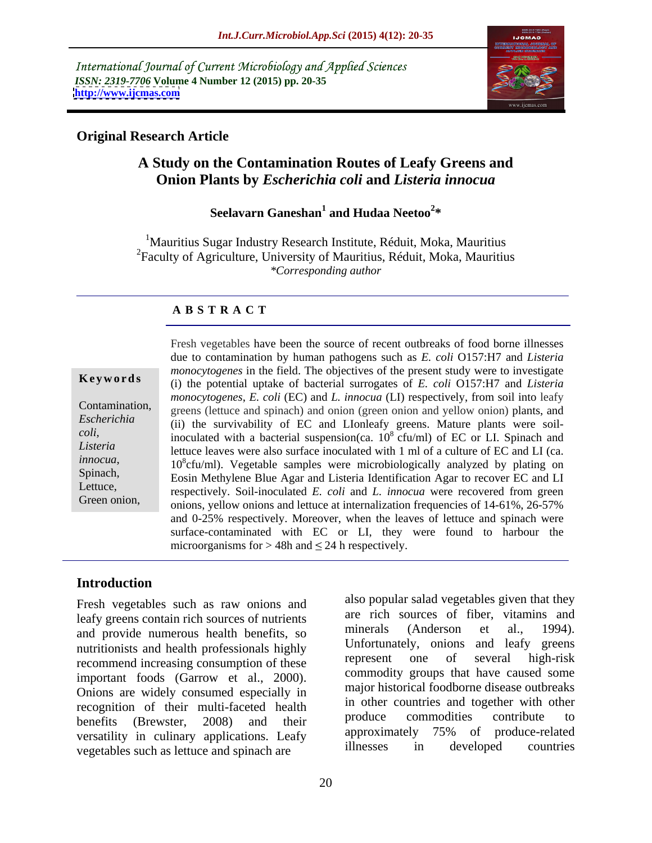International Journal of Current Microbiology and Applied Sciences *ISSN: 2319-7706* **Volume 4 Number 12 (2015) pp. 20-35 <http://www.ijcmas.com>**



### **Original Research Article**

# **A Study on the Contamination Routes of Leafy Greens and Onion Plants by** *Escherichia coli* **and** *Listeria innocua*

### Seelavarn Ganeshan<sup>1</sup> and Hudaa Neetoo<sup>2\*</sup>  **and Hudaa Neetoo<sup>2</sup> \***

<sup>1</sup>Mauritius Sugar Industry Research Institute, Réduit, Moka, Mauritius 2Faculty of Agriculture, University of Mauritius, Réduit, Moka, Mauritius *\*Corresponding author*

### **A B S T R A C T**

Fresh vegetables have been the source of recent outbreaks of food borne illnesses due to contamination by human pathogens such as *E. coli* O157:H7 and *Listeria monocytogenes* in the field. The objectives of the present study were to investigate (i) the potential uptake of bacterial surrogates of *E. coli* O157:H7 and *Listeria monocytogenes*, *E. coli* (EC) and *L. innocua* (LI) respectively, from soil into leafy Contamination, greens (lettuce and spinach) and onion (green onion and yellow onion) plants, and (ii) the survivability of EC and LIonleafy greens. Mature plants were soil-*Escherichia*  inoculated with a bacterial suspension(ca. 10 8 cfu/ml) of EC or LI. Spinach and *coli,*  Listeria<br>lettuce leaves were also surface inoculated with 1 ml of a culture of EC and LI (ca. *innocua*,<br>
10<sup>8</sup>cfu/ml). Vegetable samples were microbiologically analyzed by plating on<br>
Spinach, Spinach, Spinach, Spinach, Spinach, Spinach, Spinach, Spinach, Spinach, Spinach, Spinach, Spinach, Spinach, Spinach, Spina Eosin Methylene Blue Agar and Listeria Identification Agar to recover EC and LI respectively. Soil-inoculated *E. coli* and *L. innocua* were recovered from green Lettuce, Green onion,<br>
onions, yellow onions and lettuce at internalization frequencies of 14-61%, 26-57% and 0-25% respectively. Moreover, when the leaves of lettuce and spinach were surface-contaminated with EC or LI, they were found to harbour the **Keywords**<br>
(i) the potential uptake of bacterial surrogates of *E. coli* O157:H7 and *Listeria*<br>
contamination,<br> *monocytogenes, E. coli* (EC) and *L. innocua* (LI) respectively, from soil into leafy<br> *Escherichia*<br>
(ii)

### **Introduction**

Fresh vegetables such as raw onions and leafy greens contain rich sources of nutrients are from sources of the rich sources of the rich sources of the rich sources of the rich sources of the rich sources of the rich sources of the rich sources of the rich source and provide numerous health benefits, so nutritionists and health professionals highly<br>represent one of several high-risk<br>represent one of several high-risk recommend increasing consumption of these important foods (Garrow et al., 2000). Onions are widely consumed especially in recognition of their multi-faceted health in other countries and together with other<br>health produce commodities contribute to benefits (Brewster, 2008) and their produce commodules contribute to versatility in culinary applications. Leafy<br>were elated approximately 75% of produce-related<br>llnesses in developed countries vegetables such as lettuce and spinach are

also popular salad vegetables given that they are rich sources of fiber, vitamins and minerals (Anderson et al., 1994). Unfortunately, onions and leafy greens represent one of several high-risk commodity groups that have caused some major historical foodborne disease outbreaks in other countries and together with other produce commodities contribute to approximately 75% of produce-related illnesses in developed countries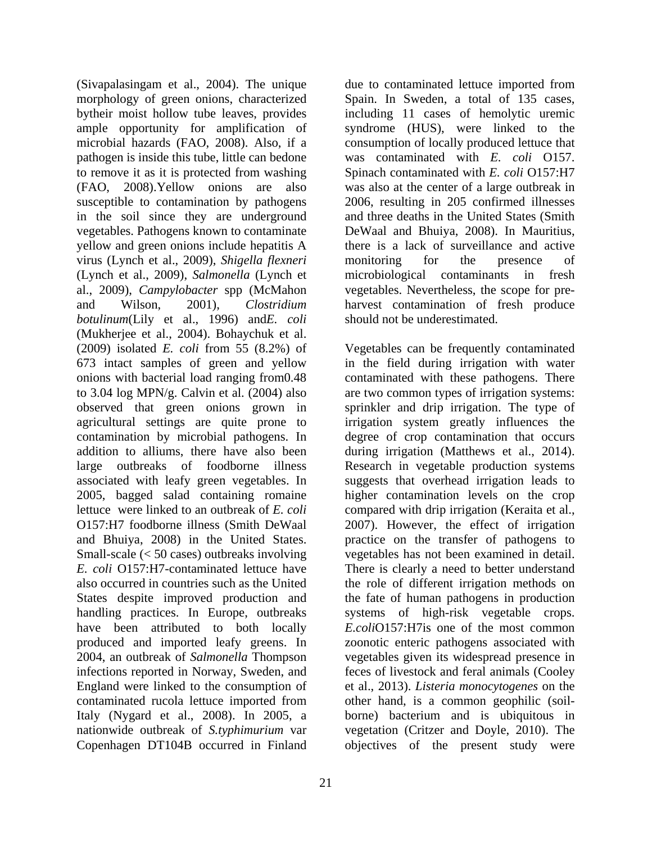(Sivapalasingam et al., 2004). The unique morphology of green onions, characterized bytheir moist hollow tube leaves, provides including 11 cases of hemolytic uremic ample opportunity for amplification of syndrome (HUS), were linked to the microbial hazards (FAO, 2008). Also, if a consumption of locally produced lettuce that pathogen is inside this tube, little can bedone was contaminated with *E. coli* O157. to remove it as it is protected from washing Spinach contaminated with *E. coli* O157:H7 (FAO, 2008).Yellow onions are also was also at the center of a large outbreak in susceptible to contamination by pathogens in the soil since they are underground vegetables. Pathogens known to contaminate yellow and green onions include hepatitis A virus (Lynch et al., 2009), *Shigella flexneri* (Lynch et al., 2009), *Salmonella* (Lynch et al., 2009), *Campylobacter* spp (McMahon vegetables. Nevertheless, the scope for pre and Wilson, 2001), *Clostridium*  harvest contamination of fresh produce *botulinum*(Lily et al., 1996) and*E. coli* (Mukherjee et al., 2004). Bohaychuk et al. (2009) isolated *E. coli* from 55 (8.2%) of Vegetables can be frequently contaminated 673 intact samples of green and yellow in the field during irrigation with water onions with bacterial load ranging from0.48 contaminated with these pathogens. There to 3.04 log MPN/g. Calvin et al. (2004) also are two common types of irrigation systems: observed that green onions grown in sprinkler and drip irrigation. The type of agricultural settings are quite prone to irrigation system greatly influences the contamination by microbial pathogens. In degree of crop contamination that occurs addition to alliums, there have also been during irrigation (Matthews et al., 2014). large outbreaks of foodborne illness Research in vegetable production systems associated with leafy green vegetables. In suggests that overhead irrigation leads to 2005, bagged salad containing romaine lettuce were linked to an outbreak of *E. coli* compared with drip irrigation (Keraita et al., O157:H7 foodborne illness (Smith DeWaal 2007). However, the effect of irrigation and Bhuiya, 2008) in the United States. practice on the transfer of pathogens to Small-scale (< 50 cases) outbreaks involving vegetables has not been examined in detail. *E. coli* O157:H7-contaminated lettuce have There is clearly a need to better understand also occurred in countries such as the United the role of different irrigation methods on States despite improved production and the fate of human pathogens in production handling practices. In Europe, outbreaks have been attributed to both locally produced and imported leafy greens. In zoonotic enteric pathogens associated with 2004, an outbreak of *Salmonella* Thompson vegetables given its widespread presence in infections reported in Norway, Sweden, and England were linked to the consumption of et al., 2013). *Listeria monocytogenes* on the contaminated rucola lettuce imported from other hand, is a common geophilic (soil-Italy (Nygard et al., 2008). In 2005, a borne) bacterium and is ubiquitous in nationwide outbreak of *S.typhimurium* var

due to contaminated lettuce imported from Spain. In Sweden, a total of 135 cases, 2006, resulting in 205 confirmed illnesses and three deaths in the United States (Smith DeWaal and Bhuiya, 2008). In Mauritius, there is a lack of surveillance and active monitoring for the presence of microbiological contaminants in fresh should not be underestimated.

Copenhagen DT104B occurred in Finland objectives of the present study werehigher contamination levels on the crop systems of high-risk vegetable crops. *E.coli*O157:H7is one of the most common feces of livestock and feral animals (Cooley vegetation (Critzer and Doyle, 2010). The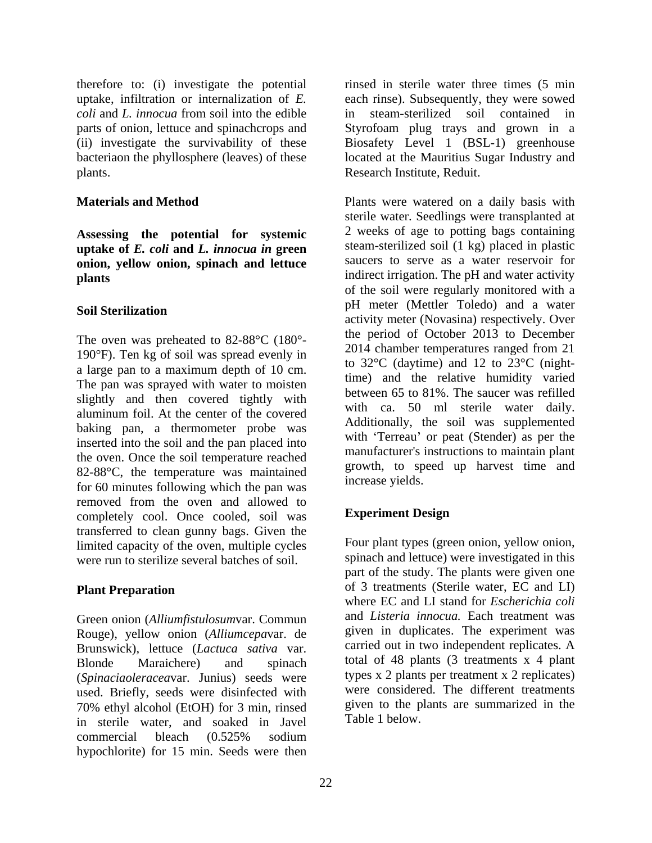*coli* and *L. innocua* from soil into the edible

**Assessing the potential for systemic uptake of** *E. coli* **and** *L. innocua in* **green onion, yellow onion, spinach and lettuce**

The oven was preheated to 82-88°C (180°- 190°F). Ten kg of soil was spread evenly in a large pan to a maximum depth of 10 cm. The pan was sprayed with water to moisten slightly and then covered tightly with aluminum foil. At the center of the covered baking pan, a thermometer probe was inserted into the soil and the pan placed into the oven. Once the soil temperature reached 82-88°C, the temperature was maintained for 60 minutes following which the pan was removed from the oven and allowed to<br>
completely cool Once cooled soil was **Experiment Design** completely cool. Once cooled, soil was transferred to clean gunny bags. Given the limited capacity of the oven, multiple cycles were run to sterilize several batches of soil.

Green onion (*Alliumfistulosum*var. Commun Rouge), yellow onion (*Alliumcepa*var. de Brunswick), lettuce (*Lactuca sativa* var. Blonde Maraichere) and spinach total of 48 plants (3 treatments x 4 plant (*Spinaciaoleracea*var. Junius) seeds were used. Briefly, seeds were disinfected with 70% ethyl alcohol (EtOH) for 3 min, rinsed in sterile water, and soaked in Javel commercial bleach (0.525% sodium hypochlorite) for 15 min. Seeds were then

therefore to: (i) investigate the potential rinsed in sterile water three times (5 min uptake, infiltration or internalization of *E.*  each rinse). Subsequently, they were sowed parts of onion, lettuce and spinachcrops and Styrofoam plug trays and grown in a (ii) investigate the survivability of these Biosafety Level 1 (BSL-1) greenhouse bacteriaon the phyllosphere (leaves) of these located at the Mauritius Sugar Industry and plants. Research Institute, Reduit. steam-sterilized soil contained in

**Materials and Method Plants** were watered on a daily basis with **plants indirect irrigation**. The pH and water activity **Soil Sterilization Solution Contained Property (Neutre Toleus)** and a water sterile water. Seedlings were transplanted at 2 weeks of age to potting bags containing steam-sterilized soil (1 kg) placed in plastic saucers to serve as a water reservoir for of the soil were regularly monitored with a pH meter (Mettler Toledo) and a water activity meter (Novasina) respectively. Over the period of October 2013 to December 2014 chamber temperatures ranged from 21 to 32°C (daytime) and 12 to 23°C (nighttime) and the relative humidity varied between 65 to 81%. The saucer was refilled with ca. 50 ml sterile water daily. Additionally, the soil was supplemented with 'Terreau' or peat (Stender) as per the manufacturer's instructions to maintain plant growth, to speed up harvest time and increase yields.

### **Experiment Design**

**Plant Preparation** of 3 treatments (Sterile water, EC and LI) Four plant types (green onion, yellow onion, spinach and lettuce) were investigated in this part of the study. The plants were given one of 3 treatments (Sterile water, EC and LI) where EC and LI stand for *Escherichia coli* and *Listeria innocua.* Each treatment was given in duplicates. The experiment was carried out in two independent replicates. A types x 2 plants per treatment x 2 replicates) were considered. The different treatments given to the plants are summarized in the Table 1 below.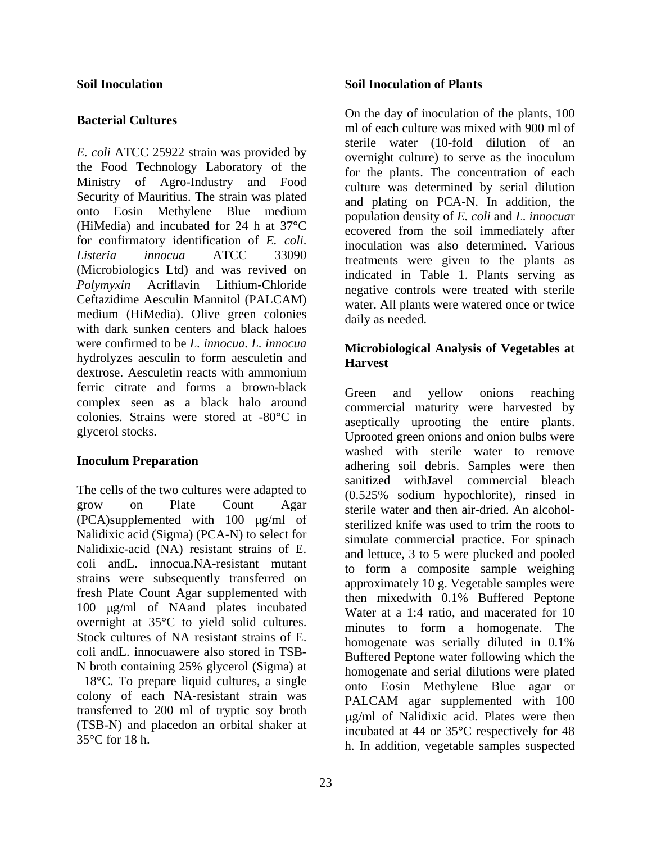*E. coli* ATCC 25922 strain was provided by the Food Technology Laboratory of the Ministry of Agro-Industry and Food Security of Mauritius. The strain was plated onto Eosin Methylene Blue medium (HiMedia) and incubated for 24 h at 37**°**C for confirmatory identification of *E. coli*. *Listeria innocua* ATCC 33090 (Microbiologics Ltd) and was revived on *Polymyxin* Acriflavin Lithium-Chloride negative controls were treated with sterile Ceftazidime Aesculin Mannitol (PALCAM) medium (HiMedia). Olive green colonies with dark sunken centers and black haloes were confirmed to be *L. innocua. L. innocua* hydrolyzes aesculin to form aesculetin and<br>
Harvest dextrose. Aesculetin reacts with ammonium ferric citrate and forms a brown-black complex seen as a black halo around colonies. Strains were stored at -80**°**C in

The cells of the two cultures were adapted to grow on Plate Count Agar sterile water and then air-dried. An alcohol- $(PCA)$ supplemented with 100  $\mu$ g/ml of Nalidixic acid (Sigma) (PCA-N) to select for Nalidixic-acid (NA) resistant strains of E. coli andL. innocua.NA-resistant mutant strains were subsequently transferred on fresh Plate Count Agar supplemented with<br>then mixed with 0.1% Buffered Peptone 100 µg/ml of NAand plates incubated overnight at 35°C to yield solid cultures. Stock cultures of NA resistant strains of E. homogenate was serially diluted in 0.1% coli andL. innocuawere also stored in TSB- N broth containing 25% glycerol (Sigma) at  $-18$ °C. To prepare liquid cultures, a single colony of each NA-resistant strain was transferred to 200 ml of tryptic soy broth (TSB-N) and placedon an orbital shaker at

### **Soil Inoculation Soil Inoculation of Plants**

**Bacterial Cultures**<br>
ml of each culture was mixed with 900 ml of On the day of inoculation of the plants, 100 sterile water (10-fold dilution of an overnight culture) to serve as the inoculum for the plants. The concentration of each culture was determined by serial dilution and plating on PCA-N. In addition, the population density of *E. coli* and *L. innocua*r ecovered from the soil immediately after inoculation was also determined. Various treatments were given to the plants as indicated in Table 1. Plants serving as water. All plants were watered once or twice daily as needed.

### **Microbiological Analysis of Vegetables at Harvest**

glycerol stocks.<br>
Uprooted green onions and onion bulbs were **Inoculum Preparation**<br>
adhering soil debris. Samples were then  $35^{\circ}$ C for 18 h.<br>h. In addition, vegetable samples suspected Green and yellow onions reaching commercial maturity were harvested by aseptically uprooting the entire plants. washed with sterile water to remove sanitized withJavel commercial bleach (0.525% sodium hypochlorite), rinsed in sterilized knife was used to trim the roots to simulate commercial practice. For spinach and lettuce, 3 to 5 were plucked and pooled to form a composite sample weighing approximately 10 g. Vegetable samples were then mixedwith 0.1% Buffered Peptone Water at a 1:4 ratio, and macerated for 10 minutes to form a homogenate. The homogenate was serially diluted in 0.1% Buffered Peptone water following which the homogenate and serial dilutions were plated onto Eosin Methylene Blue agar or PALCAM agar supplemented with 100 g/ml of Nalidixic acid. Plates were then incubated at 44 or 35°C respectively for 48

23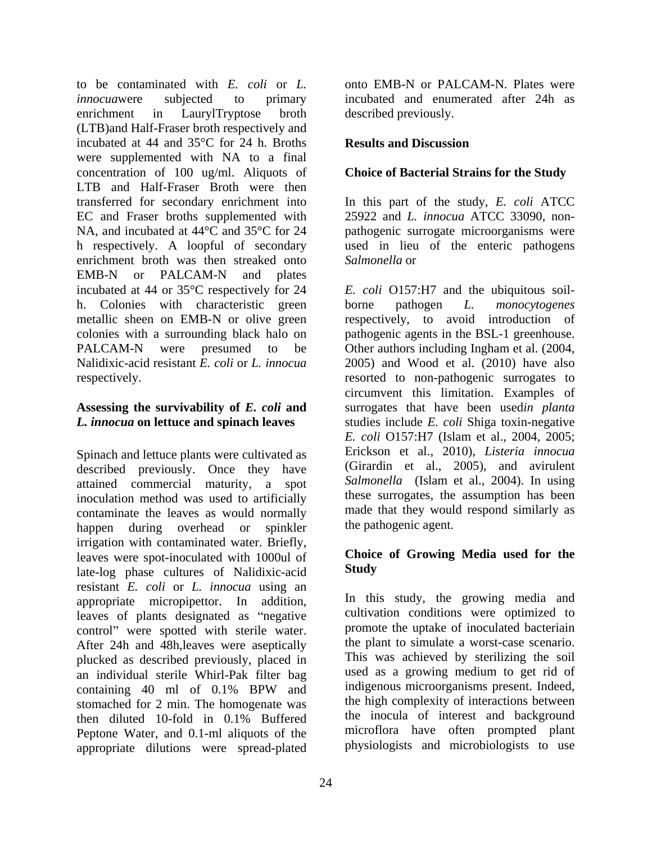to be contaminated with *E. coli* or *L. innocua* were subjected to primary incubated and enumerated after 24h as enrichment in LaurylTryptose broth described previously. (LTB)and Half-Fraser broth respectively and incubated at 44 and 35°C for 24 h. Broths were supplemented with NA to a final concentration of 100 ug/ml. Aliquots of LTB and Half-Fraser Broth were then transferred for secondary enrichment into In this part of the study, *E. coli* ATCC EC and Fraser broths supplemented with 25922 and *L. innocua* ATCC 33090, non- NA, and incubated at 44<sup>o</sup>C and 35<sup>o</sup>C for 24 pathogenic surrogate microorganisms were h respectively. A loopful of secondary used in lieu of the enteric pathogens enrichment broth was then streaked onto Salmonella or EMB-N or PALCAM-N and plates h. Colonies with characteristic green borne pathogen *L*. *monocytogenes* 

described previously. Once they have attained commercial maturity, a spot inoculation method was used to artificially contaminate the leaves as would normally happen during overhead or spinkler irrigation with contaminated water. Briefly, leaves were spot-inoculated with 1000ul of Choice<br>late-log phase cultures of Nalidixic-acid Study late-log phase cultures of Nalidixic-acid resistant *E. coli* or *L. innocua* using an appropriate micropipettor. In addition, leaves of plants designated as "negative" control" were spotted with sterile water. After 24h and 48h,leaves were aseptically plucked as described previously, placed in an individual sterile Whirl-Pak filter bag containing 40 ml of 0.1% BPW and stomached for 2 min. The homogenate was then diluted 10-fold in 0.1% Buffered Peptone Water, and 0.1-ml aliquots of the appropriate dilutions were spread-plated

onto EMB-N or PALCAM-N. Plates were described previously.

### **Results and Discussion**

### **Choice of Bacterial Strains for the Study**

*Salmonella* or

incubated at 44 or 35°C respectively for 24 *E. coli* O157:H7 and the ubiquitous soil metallic sheen on EMB-N or olive green respectively, to avoid introduction of colonies with a surrounding black halo on pathogenic agents in the BSL-1 greenhouse. PALCAM-N were presumed to be Other authors including Ingham et al. (2004, Nalidixic-acid resistant *E. coli* or *L. innocua* 2005) and Wood et al. (2010) have also respectively. The resorted to non-pathogenic surrogates to **Assessing the survivability of** *E. coli* **and** surrogates that have been used*in planta L. innocua* **on lettuce and spinach leaves** studies include *E. coli* Shiga toxin-negative Spinach and lettuce plants were cultivated as <br>described previously Once they have (Girardin et al., 2005), and avirulent borne pathogen *L. monocytogenes* circumvent this limitation. Examples of *E. coli* O157:H7 (Islam et al., 2004, 2005; Erickson et al., 2010), *Listeria innocua* (Girardin et al., 2005), and avirulent *Salmonella* (Islam et al., 2004). In using these surrogates, the assumption has been made that they would respond similarly as the pathogenic agent.

### **Choice of Growing Media used for the Study**

In this study, the growing media and cultivation conditions were optimized to promote the uptake of inoculated bacteriain the plant to simulate a worst-case scenario. This was achieved by sterilizing the soil used as a growing medium to get rid of indigenous microorganisms present. Indeed, the high complexity of interactions between the inocula of interest and background microflora have often prompted plant physiologists and microbiologists to use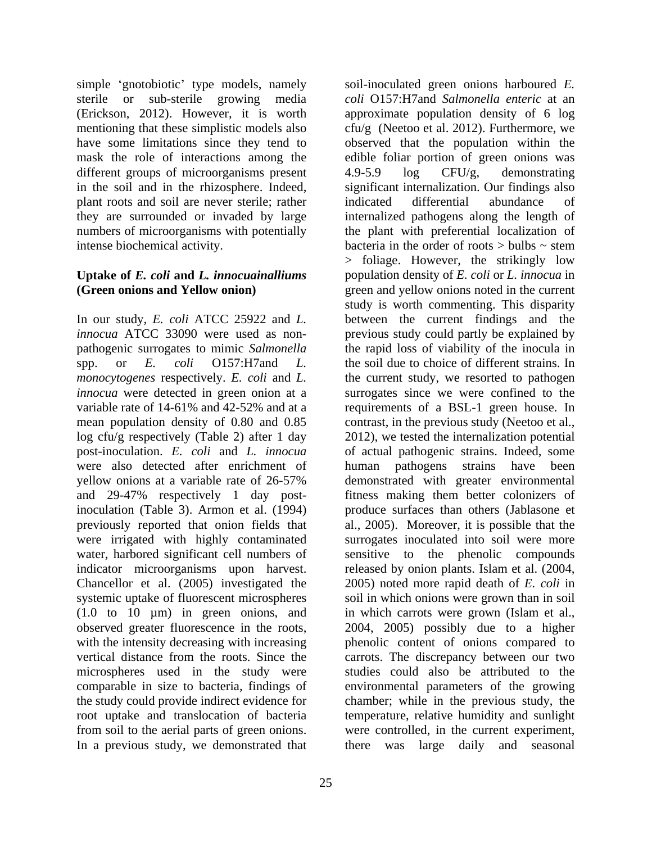simple 'gnotobiotic' type models, namely sterile or sub-sterile growing media different groups of microorganisms present  $4.9-5.9$  log CFU/g, demonstrating in the soil and in the rhizosphere. Indeed, plant roots and soil are never sterile; rather intense biochemical activity. bacteria in the order of roots > bulbs ~ stem

In our study, *E. coli* ATCC 25922 and *L.*  log cfu/g respectively (Table 2) after 1 day post-inoculation. *E. coli* and *L. innocua* were also detected after enrichment of human pathogens strains have been water, harbored significant cell numbers of Chancellor et al. (2005) investigated the microspheres used in the study were In a previous study, we demonstrated that there was large daily and seasonal

25

(Erickson, 2012). However, it is worth approximate population density of 6 log mentioning that these simplistic models also  $crit/g$  (Neetoo et al. 2012). Furthermore, we have some limitations since they tend to observed that the population within the mask the role of interactions among the edible foliar portion of green onions was they are surrounded or invaded by large internalized pathogens along the length of numbers of microorganisms with potentially the plant with preferential localization of **Uptake of** *E. coli* **and** *L. innocuainalliums* population density of *E. coli* or *L. innocua* in **(Green onions and Yellow onion)** green and yellow onions noted in the current *innocua* ATCC 33090 were used as non- previous study could partly be explained by pathogenic surrogates to mimic *Salmonella*  the rapid loss of viability of the inocula in spp. or *E. coli* O157:H7and *L.*  the soil due to choice of different strains. In *monocytogenes* respectively. *E. coli* and *L.*  the current study, we resorted to pathogen *innocua* were detected in green onion at a surrogates since we were confined to the variable rate of 14-61% and 42-52% and at a requirements of a BSL-1 green house. In mean population density of 0.80 and 0.85 contrast, in the previous study (Neetoo et al., yellow onions at a variable rate of 26-57% demonstrated with greater environmental and 29-47% respectively 1 day post-fitness making them better colonizers of inoculation (Table 3). Armon et al. (1994) produce surfaces than others (Jablasone et previously reported that onion fields that al., 2005). Moreover, it is possible that the were irrigated with highly contaminated surrogates inoculated into soil were more indicator microorganisms upon harvest. released by onion plants. Islam et al. (2004, systemic uptake of fluorescent microspheres soil in which onions were grown than in soil (1.0 to 10 µm) in green onions, and in which carrotswere grown (Islam et al., observed greater fluorescence in the roots, 2004, 2005) possibly due to a higher with the intensity decreasing with increasing bhenolic content of onions compared to vertical distance from the roots. Since the carrots. The discrepancy between our two comparable in size to bacteria, findings of environmental parameters of the growing the study could provide indirect evidence for chamber; while in the previous study, the root uptake and translocation of bacteria temperature, relative humidity and sunlight from soil to the aerial parts of green onions. were controlled, in the current experiment, soil-inoculated green onions harboured *E. coli* O157:H7and *Salmonella enteric* at an 4.9-5.9 log CFU/g, demonstrating significant internalization. Our findings also indicated differential abundance of bacteria in the order of roots  $>$  bulbs  $\sim$  stem > foliage. However, the strikingly low study is worth commenting. This disparity between the current findings and the 2012), we tested the internalization potential of actual pathogenic strains. Indeed, some human pathogens strains have been sensitive to the phenolic compounds 2005) noted more rapid death of *E. coli* in studies could also be attributed to the there was large daily and seasonal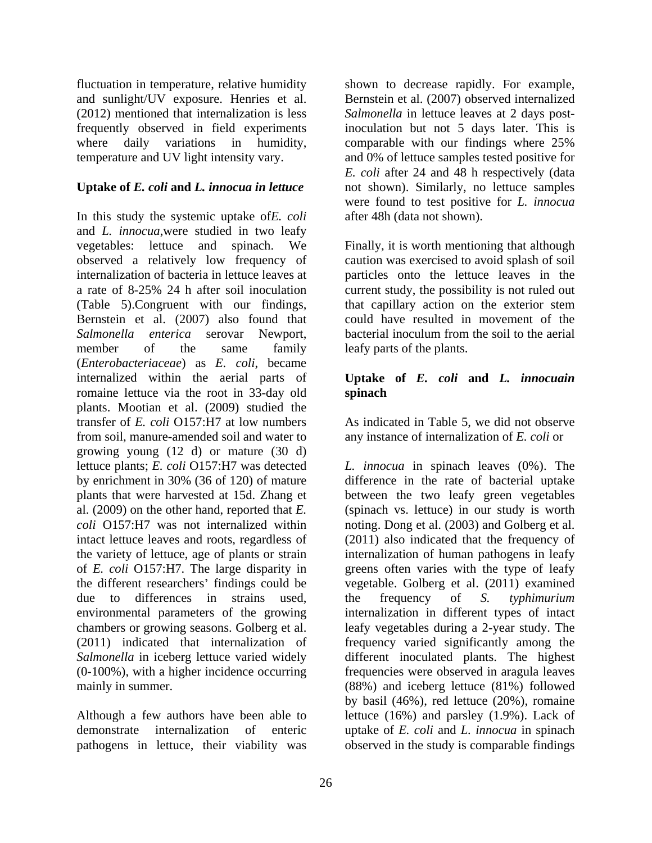fluctuation in temperature, relative humidity shown to decrease rapidly. For example, and sunlight/UV exposure. Henries et al. Bernstein et al. (2007) observed internalized (2012) mentioned that internalization is less *Salmonella* in lettuce leaves at 2 days postfrequently observed in field experiments inoculation but not 5 days later. This is where daily variations in humidity, comparable with our findings where 25% temperature and UV light intensity vary. and 0% of lettuce samples tested positive for

### **Uptake of** *E. coli* **and** *L. innocua in lettuce*

In this study the systemic uptake of*E. coli* and *L. innocua*,were studied in two leafy vegetables: lettuce and spinach. We Finally, it is worth mentioning that although observed a relatively low frequency of caution was exercised to avoid splash of soil internalization of bacteria in lettuce leaves at particles onto the lettuce leaves in the a rate of 8-25% 24 h after soil inoculation current study, the possibility is not ruled out (Table 5).Congruent with our findings, that capillary action on the exterior stem Bernstein et al. (2007) also found that *Salmonella enterica* serovar Newport, bacterial inoculum from the soil to the aerial member of the same family leafy parts of the plants. (*Enterobacteriaceae*) as *E. coli*, became internalized within the aerial parts of **Uptake of***E. coli* **and** *L. innocuain* romaine lettuce via the root in 33-day old spinach plants. Mootian et al. (2009) studied the transfer of *E. coli* O157:H7 at low numbers As indicated in Table 5, we did not observe from soil, manure-amended soil and water to any instance of internalization of *E. coli* or growing young (12 d) or mature (30 d) lettuce plants; *E. coli* O157:H7 was detected *L. innocua* in spinach leaves (0%). The by enrichment in 30% (36 of 120) of mature plants that were harvested at 15d. Zhang et between the two leafy green vegetables al. (2009) on the other hand, reported that *E.*  (spinach vs. lettuce) in our study is worth *coli* O157:H7 was not internalized within noting. Dong et al. (2003) and Golberg et al. intact lettuce leaves and roots, regardless of (2011) also indicated that the frequency of the variety of lettuce, age of plants or strain internalization of human pathogens in leafy of *E. coli* O157:H7. The large disparity in greens often varies with the type of leafy the different researchers' findings could be vegetable. Golberg et al. (2011) examined due to differences in strains used, the frequency of S. typhimurium environmental parameters of the growing internalization in different types of intact chambers or growing seasons. Golberg et al. (2011) indicated that internalization of frequency varied significantly among the Salmonella in iceberg lettuce varied widely and different inoculated plants. The highest (0-100%), with a higher incidence occurring frequencies were observed in aragula leaves

pathogens in lettuce, their viability was observed in the study is comparable findings

comparable with our findings where 25% *E. coli* after 24 and 48 h respectively (data not shown). Similarly, no lettuce samples were found to test positive for *L. innocua* after 48h (data not shown).

could have resulted in movement of the leafy parts of the plants.

# **spinach**

mainly in summer. (88%) and iceberg lettuce (81%) followed Although a few authors have been able to lettuce (16%) and parsley (1.9%). Lack of demonstrate internalization of enteric uptake of *E. coli* and *L. innocua* in spinach difference in the rate of bacterial uptake the frequency of *S. typhimurium* leafy vegetables during a 2-year study. The by basil (46%), red lettuce (20%), romaine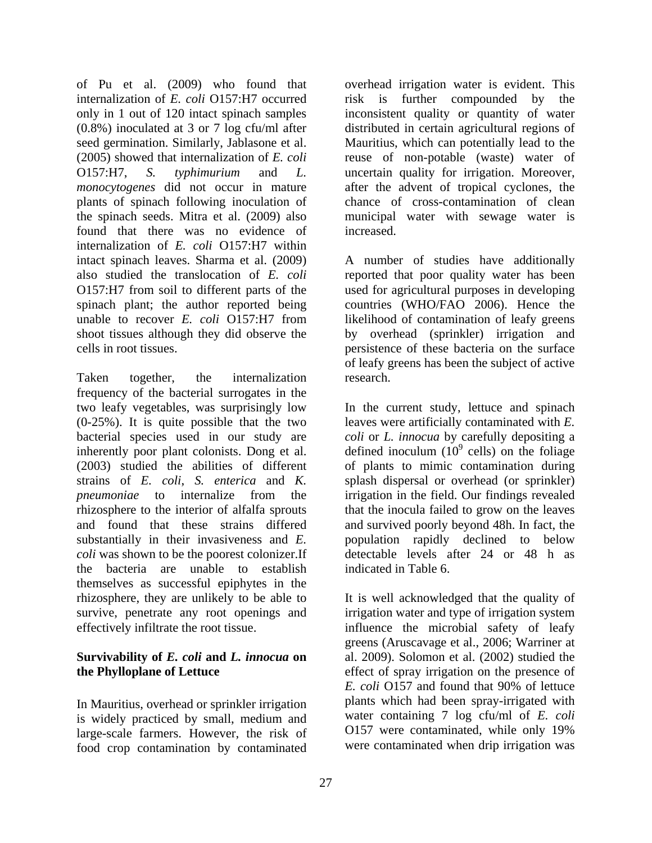plants of spinach following inoculation of found that there was no evidence of increased. internalization of *E. coli* O157:H7 within intact spinach leaves. Sharma et al. (2009) A number of studies have additionally also studied the translocation of *E. coli* reported that poor quality water has been O157:H7 from soil to different parts of the used for agricultural purposes in developing spinach plant; the author reported being countries (WHO/FAO 2006). Hence the unable to recover *E. coli* O157:H7 from likelihood of contamination of leafy greens shoot tissues although they did observe the by overhead (sprinkler) irrigation and

Taken together, the internalization research. frequency of the bacterial surrogates in the two leafy vegetables, was surprisingly low In the current study, lettuce and spinach (0-25%). It is quite possible that the two leaves were artificially contaminated with *E.*  bacterial species used in our study are inherently poor plant colonists. Dong et al.  $\qquad$  defined inoculum (10 $\degree$  cells) on the foliage (2003) studied the abilities of different of plants to mimic contamination during strains of *E. coli*, *S. enterica* and *K.*  splash dispersal or overhead (or sprinkler) *pneumoniae* to internalize from the irrigation in the field. Our findings revealed rhizosphere to the interior of alfalfa sprouts that the inocula failed to grow on the leaves and found that these strains differed and survived poorly beyond 48h. In fact, the substantially in their invasiveness and *E.*  population rapidly declined to below *coli* was shown to be the poorest colonizer.If the bacteria are unable to establish themselves as successful epiphytes in the rhizosphere, they are unlikely to be able to It is well acknowledged that the quality of survive, penetrate any root openings and

In Mauritius, overhead or sprinkler irrigation is widely practiced by small, medium and<br>large-scale farmers. However, the risk of 0157 were contaminated, while only 19% large-scale farmers. However, the risk of food crop contamination by contaminated

of Pu et al. (2009) who found that overhead irrigation water is evident. This internalization of *E. coli* O157:H7 occurred risk is further compounded by the only in 1 out of 120 intact spinach samples inconsistent quality or quantity of water (0.8%) inoculated at 3 or 7 log cfu/ml after distributed in certain agricultural regions of seed germination. Similarly, Jablasone et al. Mauritius, which can potentially lead to the (2005) showed that internalization of *E. coli* reuse of non-potable (waste) water of O157:H7, *S. typhimurium* and *L.*  uncertain quality for irrigation. Moreover, *monocytogenes* did not occur in mature after the advent of tropical cyclones, the the spinach seeds. Mitra et al. (2009) also municipal water with sewage water is chance of cross-contamination of clean increased.

cells in root tissues. persistence of these bacteria on the surface of leafy greens has been the subject of active research.

> *coli*or *L. innocua* by carefully depositing a cells) on the foliage detectable levels after 24 or 48 h as indicated in Table 6.

effectively infiltrate the root tissue. influence the microbial safety of leafy **Survivability of** *E. coli* **and** *L. innocua* **on** al. 2009). Solomon et al. (2002) studied the **the Phylloplane of Lettuce** effect of spray irrigation on the presence of irrigation water and type of irrigation system greens (Aruscavage et al., 2006; Warriner at *E. coli* O157 and found that 90% of lettuce plants which had been spray-irrigated with water containing 7 log cfu/ml of *E. coli* O157 were contaminated, while only 19% were contaminated when drip irrigation was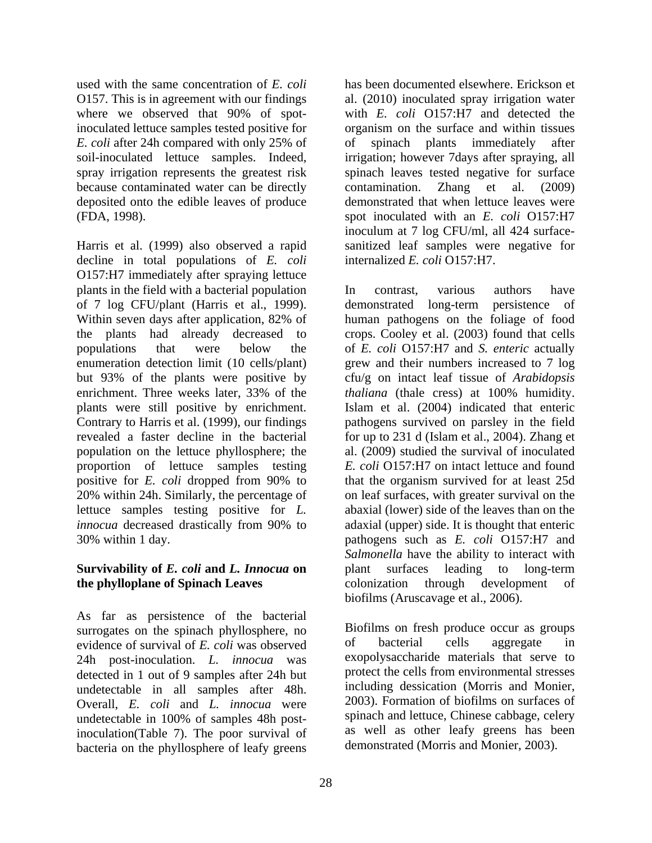where we observed that 90% of spotbecause contaminated water can be directly contamination. Zhang et al. (2009)

Harris et al. (1999) also observed a rapid sanitized leaf samples were negative for decline in total populations of *E. coli* O157:H7 immediately after spraying lettuce plants in the field with a bacterial population of 7 log CFU/plant (Harris et al., 1999). Within seven days after application, 82% of human pathogens on the foliage of food the plants had already decreased to crops. Cooley et al. (2003) found that cells populations that were below the of *E. coli* O157:H7 and *S. enteric* actually enumeration detection limit (10 cells/plant) grew and their numbers increased to 7 log but 93% of the plants were positive by cfu/g on intact leaf tissue of *Arabidopsis*  enrichment. Three weeks later, 33% of the *thaliana* (thale cress) at 100% humidity. plants were still positive by enrichment. Contrary to Harris et al. (1999), our findings pathogens survived on parsley in the field revealed a faster decline in the bacterial for up to 231 d (Islam et al., 2004). Zhang et population on the lettuce phyllosphere; the al. (2009) studied the survival of inoculated proportion of lettuce samples testing positive for *E. coli* dropped from 90% to 20% within 24h. Similarly, the percentage of on leaf surfaces, with greater survival on the lettuce samples testing positive for *L.*  abaxial (lower) side of the leaves than on the *innocua* decreased drastically from 90% to adaxial (upper) side. It is thought that enteric

### **Survivability of** *E. coli* **and** *L. Innocua* **on the phylloplane of Spinach Leaves** colonization through development of

As far as persistence of the bacterial surrogates on the spinach phyllosphere, no<br>
evidence of survival of  $F$  coli was observed of bacterial cells aggregate in evidence of survival of *E. coli* was observed 24h post-inoculation. *L. innocua* was detected in 1 out of 9 samples after 24h but undetectable in all samples after 48h. Overall, *E. coli* and *L. innocua* were undetectable in 100% of samples 48h postinoculation(Table 7). The poor survival of bacteria on the phyllosphere of leafy greens

used with the same concentration of *E. coli* has been documented elsewhere. Erickson et O157. This is in agreement with our findings al. (2010) inoculated spray irrigation water inoculated lettuce samples tested positive for organism on the surface and within tissues *E. coli* after 24h compared with only 25% of soil-inoculated lettuce samples. Indeed, irrigation; however 7days after spraying, all spray irrigation represents the greatest risk spinach leaves tested negative for surface deposited onto the edible leaves of produce demonstrated that when lettuce leaves were (FDA, 1998). spot inoculated with an *E. coli* O157:H7 with *E. coli* O157:H7 and detected the of spinach plants immediately after contamination. Zhang et al. (2009) inoculum at 7 log CFU/ml, all 424 surface internalized *E. coli* O157:H7.

30% within 1 day. pathogens such as *E. coli* O157:H7 and In contrast, various authors have demonstrated long-term persistence of human pathogens on the foliage of food *thaliana* (thale cress) at 100% humidity. Islam et al. (2004) indicated that enteric *E. coli* O157:H7 on intact lettuce and found that the organism survived for at least 25d *Salmonella* have the ability to interact with plant surfaces leading to long-term colonization through development of biofilms (Aruscavage et al., 2006).

> Biofilms on fresh produce occur as groups of bacterial cells aggregate in exopolysaccharide materials that serve to protect the cells from environmental stresses including dessication (Morris and Monier, 2003). Formation of biofilms on surfaces of spinach and lettuce, Chinese cabbage, celery as well as other leafy greens has been demonstrated (Morris and Monier, 2003).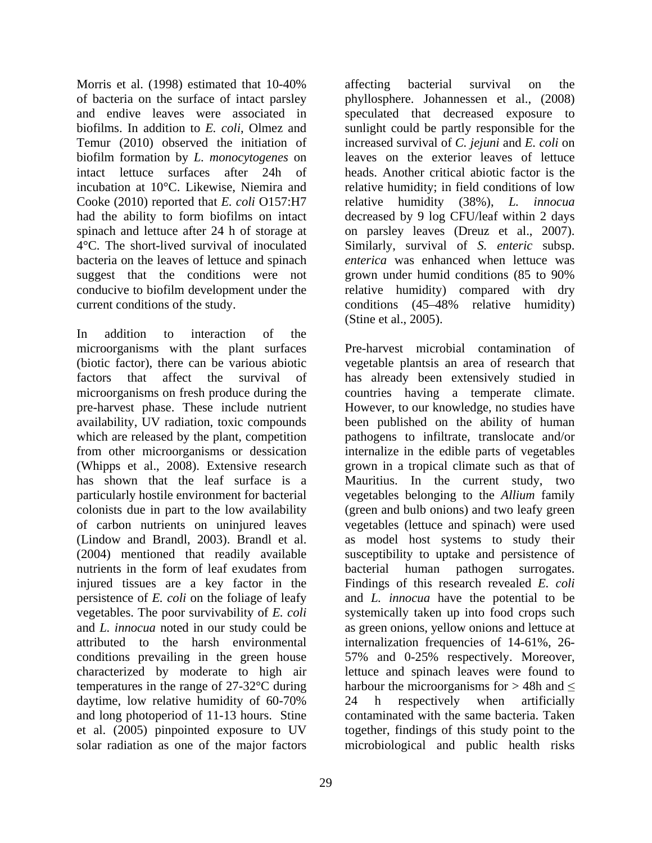Morris et al. (1998) estimated that 10-40% affecting bacterial survival on the of bacteria on the surface of intact parsley phyllosphere. Johannessen et al., (2008) and endive leaves were associated in speculated that decreased exposure to biofilms. In addition to *E. coli*, Olmez and sunlight could be partly responsible for the Temur (2010) observed the initiation of increased survival of *C. jejuni* and *E. coli* on biofilm formation by *L. monocytogenes* on intact lettuce surfaces after 24h of heads. Another critical abiotic factor is the incubation at 10°C. Likewise, Niemira and relative humidity; in field conditions of low Cooke (2010) reported that *E. coli* O157:H7 had the ability to form biofilms on intact decreased by 9 log CFU/leaf within 2 days spinach and lettuce after 24 h of storage at on parsley leaves (Dreuz et al., 2007). 4°C. The short-lived survival of inoculated Similarly, survival of *S. enteric* subsp. bacteria on the leaves of lettuce and spinach *enterica* was enhanced when lettuce was suggest that the conditions were not grown under humid conditions (85 to 90%) conducive to biofilm development under the relative humidity) compared with dry current conditions of the study. conditions (45 48% relative humidity)

In addition to interaction of the microorganisms with the plant surfaces pre-harvest phase. These include nutrient which are released by the plant, competition injured tissues are a key factor in the persistence of *E. coli* on the foliage of leafy daytime, low relative humidity of 60-70% 24 h respectively when artificially solar radiation as one of the major factors microbiological and public health risks

leaves on the exterior leaves of lettuce relative humidity (38%), *L.* grown under humid conditions (85 to 90% (Stine et al., 2005).

affecting bacterial survival on the

(biotic factor), there can be various abiotic vegetable plantsis an area of research that factors that affect the survival of has already been extensively studied in microorganisms on fresh produce during the countries having a temperate climate. availability, UV radiation, toxic compounds been published on the ability of human from other microorganisms or dessication internalize in the edible parts of vegetables (Whipps et al., 2008). Extensive research grown in a tropical climate such as that of has shown that the leaf surface is a Mauritius. In the current study, two particularly hostile environment for bacterial vegetables belonging to the *Allium* family colonists due in part to the low availability (green and bulb onions) and two leafy green of carbon nutrients on uninjured leaves vegetables (lettuce and spinach) were used (Lindow and Brandl, 2003). Brandl et al. as model host systems to study their (2004) mentioned that readily available susceptibility to uptake and persistence of nutrients in the form of leaf exudates from bacterial human pathogen surrogates. vegetables. The poor survivability of *E. coli* systemically taken up into food crops such and *L. innocua* noted in our study could be as green onions, yellow onions and lettuce at attributed to the harsh environmental internalization frequencies of 14-61%, 26 conditions prevailing in the green house 57% and 0-25% respectively. Moreover, characterized by moderate to high air lettuce and spinach leaves were found to temperatures in the range of 27-32 °C during harbour the microorganisms for  $>$  48h and  $\leq$ and long photoperiod of 11-13 hours. Stine contaminated with the same bacteria. Taken et al. (2005) pinpointed exposure to UV together, findings of this study point to the Pre-harvest microbial contamination of However, to our knowledge, no studies have pathogens to infiltrate, translocate and/or bacterial human pathogen surrogates. Findings of this research revealed *E. coli* and *L. innocua* have the potential to be 24 h respectively when artificially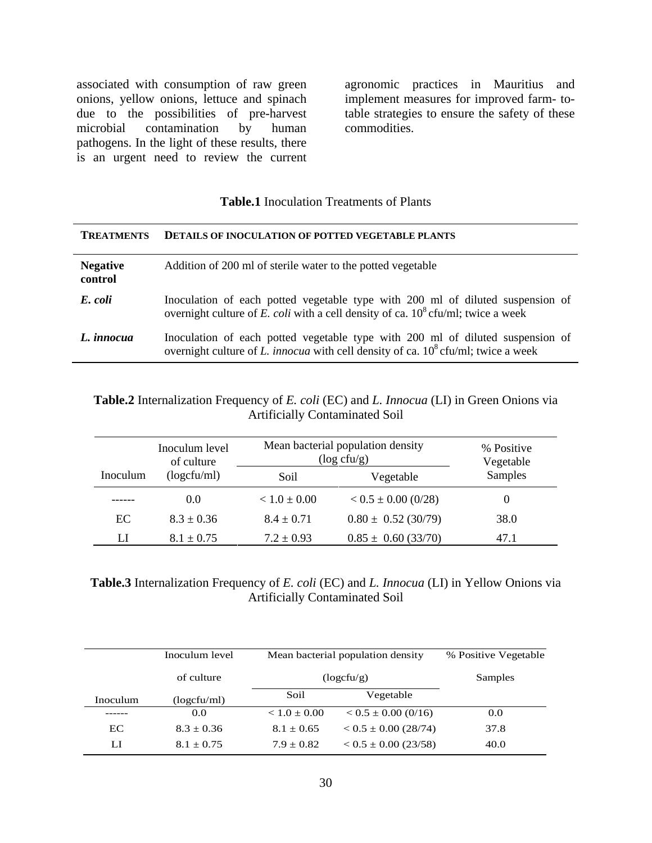associated with consumption of raw green<br>onions, yellow onions, lettuce and spinach onions, yellow onions, lettuce and spinach implement measures for improved farm- todue to the possibilities of pre-harvest table strategies to ensure the safety of these microbial contamination by human commodities. pathogens. In the light of these results, there is an urgent need to review the current

agronomic practices in Mauritius and commodities.

### **Table.1** Inoculation Treatments of Plants

|                            | TREATMENTS DETAILS OF INOCULATION OF POTTED VEGETABLE PLANTS                                                                                                           |
|----------------------------|------------------------------------------------------------------------------------------------------------------------------------------------------------------------|
| <b>Negative</b><br>control | Addition of 200 ml of sterile water to the potted vegetable                                                                                                            |
| E. coli                    | Inoculation of each potted vegetable type with 200 ml of diluted suspension of<br>overnight culture of E. coli with a cell density of ca. $10^8$ cfu/ml; twice a week  |
| L. innocua                 | Inoculation of each potted vegetable type with 200 ml of diluted suspension of<br>overnight culture of L. innocua with cell density of ca. $10^8$ cfu/ml; twice a week |

### **Table.2** Internalization Frequency of *E. coli* (EC) and *L. Innocua* (LI) in Green Onions via Artificially Contaminated Soil

|          | Inoculum level<br>of culture |                  | Mean bacterial population density<br>$(\log c f u/g)$ | % Positive<br>Vegetable |
|----------|------------------------------|------------------|-------------------------------------------------------|-------------------------|
| Inoculum | (logcfu/ml)                  | Soil             | Vegetable                                             | Samples                 |
| -------  |                              | $< 1.0 \pm 0.00$ | $< 0.5 \pm 0.00$ (0/28)                               |                         |
| EC       | $8.3 \pm 0.36$               | $8.4 \pm 0.71$   | $0.80 \pm 0.52$ (30/79)                               | 38.0                    |
|          | $6.1 \pm 0.75$               | $7.2 \pm 0.93$   | $0.85 \pm 0.60$ (33/70)                               | 47.1                    |

| Table.<br>and L<br>$\ldots$ Internalization<br>$\sim$ 100 Frequency $\sim$<br>Onions via<br>r ellow<br>$\sim$ 0.0 $\mu$ .<br>.) in<br><i>coll</i> (E)<br>ua (LI<br>Inno <sup>r</sup> |  |
|--------------------------------------------------------------------------------------------------------------------------------------------------------------------------------------|--|
| Artificially f<br>ontaminated Soil                                                                                                                                                   |  |

|          |                |                                          | Inoculum level Mean bacterial population density % Positive Vegetable |
|----------|----------------|------------------------------------------|-----------------------------------------------------------------------|
|          | of culture     | (logctu/g)                               | Samples                                                               |
| Inoculum | (logcfu/ml)    | Vegetable                                |                                                                       |
| ------   | $0.0\,$        | $< 1.0 \pm 0.00$ $< 0.5 \pm 0.00$ (0/16) | 0.0                                                                   |
| EC       | $8.3 \pm 0.36$ | $8.1 \pm 0.65$ $< 0.5 \pm 0.00$ (28/74)  | 37.8                                                                  |
|          | $8.1 \pm 0.75$ | $7.9 \pm 0.82$ $< 0.5 \pm 0.00$ (23/58)  | 40.0                                                                  |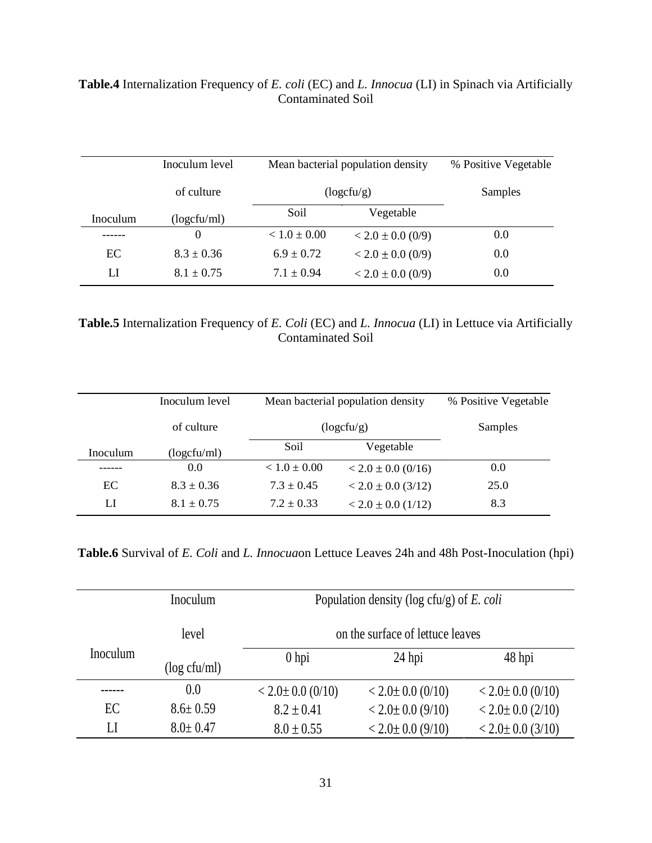|          | Inoculum level |                  |                       | Mean bacterial population density % Positive Vegetable |
|----------|----------------|------------------|-----------------------|--------------------------------------------------------|
|          | of culture     |                  | 10gc1u/g)             | Samples                                                |
| Inoculum | (logcfu/ml)    | Soil             | Vegetable             |                                                        |
| -------  |                | $< 1.0 \pm 0.00$ | $< 2.0 \pm 0.0$ (0/9) | 0.0                                                    |
|          | $8.3 \pm 0.36$ | $6.9 \pm 0.72$   | $< 2.0 \pm 0.0$ (0/9) | $0.0\,$                                                |
|          | $8.1 \pm 0.75$ | $1.1 \pm 0.94$   | $< 2.0 \pm 0.0$ (0/9) | $0.0\,$                                                |

## **Table.4** Internalization Frequency of *E. coli* (EC) and *L. Innocua* (LI) in Spinach via Artificially Contaminated Soil

### **Table.5** Internalization Frequency of *E. Coli* (EC) and *L. Innocua* (LI) in Lettuce via Artificially Contaminated Soil

|          | Inoculum level |                  |                          | Mean bacterial population density % Positive Vegetable |
|----------|----------------|------------------|--------------------------|--------------------------------------------------------|
|          | of culture     |                  | (logcfu/g)               | Samples                                                |
| Inoculum | (logcfu/ml)    | Soil             | Vegetable                |                                                        |
| -------  | $0.0\,$        | $< 1.0 \pm 0.00$ | $<$ 2.0 $\pm$ 0.0 (0/16) | $0.0\,$                                                |
|          | $8.3 \pm 0.36$ | $7.3 \pm 0.45$   | $<$ 2.0 $\pm$ 0.0 (3/12) | 25.0                                                   |
|          | $8.1 \pm 0.75$ | $1.2 \pm 0.33$   | $<$ 2.0 $\pm$ 0.0 (1/12) | 8.3                                                    |

**Table.6** Survival of *E. Coli* and *L. Innocua*on Lettuce Leaves 24h and 48h Post-Inoculation (hpi)

|          | Inoculum       | Population density (log cfu/g) of E. coli |                        |                        |  |
|----------|----------------|-------------------------------------------|------------------------|------------------------|--|
| level    |                | on the surface of lettuce leaves          |                        |                        |  |
| Inoculum | (log cfu/ml)   | 0 <sub>hp</sub>                           | 24 hpi                 | 48 hpi                 |  |
| -------  | 0.0            | $< 2.0 \pm 0.0$ (0/10)                    | $< 2.0 \pm 0.0$ (0/10) | $< 2.0 \pm 0.0$ (0/10) |  |
| EC       | $8.6 \pm 0.59$ | $8.2 \pm 0.41$                            | $< 2.0 \pm 0.0$ (9/10) | $< 2.0 \pm 0.0$ (2/10) |  |
|          | $8.0 \pm 0.47$ | $8.0 \pm 0.55$                            | $< 2.0 \pm 0.0$ (9/10) | $< 2.0 \pm 0.0$ (3/10) |  |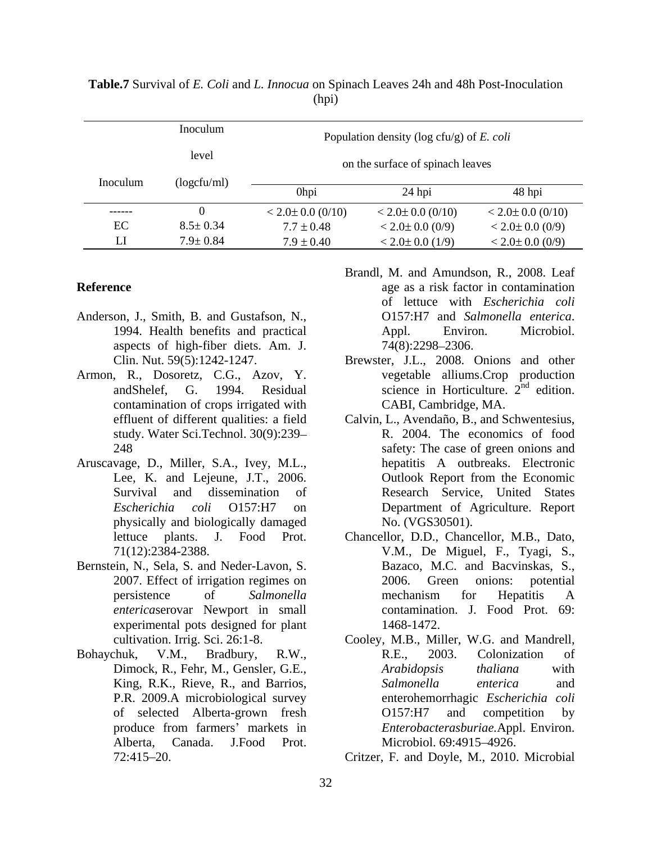|          | Inoculum       |                        | Population density (log cfu/g) of E. coli |                        |
|----------|----------------|------------------------|-------------------------------------------|------------------------|
|          | level          |                        | on the surface of spinach leaves          |                        |
| Inoculum | (logcfu/ml)    |                        |                                           |                        |
|          |                |                        | $24$ hpi                                  | 48 hpi                 |
| -------  |                | $< 2.0 \pm 0.0$ (0/10) | $< 2.0 \pm 0.0$ (0/10)                    | $< 2.0 \pm 0.0$ (0/10) |
| EC       | $8.5 \pm 0.34$ | $7.7 \pm 0.48$         | $< 2.0 \pm 0.0$ (0/9)                     | $< 2.0 \pm 0.0$ (0/9)  |
|          | $7.9 \pm 0.84$ | $7.9 \pm 0.40$         | $< 2.0 \pm 0.0$ (1/9)                     | $< 2.0 \pm 0.0$ (0/9)  |

**Table.7** Survival of *E. Coli* and *L. Innocua* on Spinach Leaves 24h and 48h Post-Inoculation (hpi)

- aspects of high-fiber diets. Am. J.
- contamination of crops irrigated with
- physically and biologically damaged
- Bernstein, N., Sela, S. and Neder-Lavon, S. experimental pots designed for plant 1468-1472.
- 
- **Reference** age as a risk factor in contamination Anderson, J., Smith, B. and Gustafson, N., 0157:H7 and Salmonella enterica. 1994. Health benefits and practical Brandl, M. and Amundson, R., 2008. Leaf of lettuce with *Escherichia coli* O157:H7 and *Salmonella enterica*. Appl. Environ. Microbiol. 74(8):2298–2306.
- Clin. Nut. 59(5):1242-1247. Brewster, J.L., 2008. Onions and other Armon, R., Dosoretz, C.G., Azov, Y. vegetable alliums.Crop production and Shelef, G. 1994. Residual science in Horticulture.  $2^{nd}$  edition. nd odition edition. CABI, Cambridge, MA.
- effluent of different qualities: a field Calvin, L., Avendaño, B., and Schwentesius, study. Water Sci.Technol. 30(9):239 R. 2004. The economics of food 248 safety: The case of green onions and Aruscavage, D., Miller, S.A., Ivey, M.L., Lee, K. and Lejeune, J.T., 2006. Outlook Report from the Economic Survival and dissemination of Research Service, United States *Escherichia coli* O157:H7 on Department of Agriculture. Report hepatitis A outbreaks. Electronic Outlook Report from the Economic No. (VGS30501).
	- lettuce plants. J. Food Prot. Chancellor, D.D., Chancellor, M.B., Dato, 71(12):2384-2388. V.M., De Miguel, F., Tyagi, S., 2007. Effect of irrigation regimes on 2006. Green onions: potential persistence of *Salmonella enterica*serovar Newport in small contamination. J. Food Prot. 69: Bazaco, M.C. and Bacvinskas, S., 2006. Green onions: potential mechanism for Hepatitis A 1468-1472.
- cultivation. Irrig. Sci. 26:1-8. Cooley, M.B., Miller, W.G. and Mandrell, Bohaychuk, V.M., Bradbury, R.W., Dimock, R., Fehr, M., Gensler, G.E., *Arabidopsis thaliana* with King, R.K., Rieve, R., and Barrios, Salmonella enterica and P.R. 2009.A microbiological survey enterohemorrhagic *Escherichia coli* of selected Alberta-grown fresh produce from farmers' markets in *Enterobacterasburiae*. Appl. Environ. Alberta, Canada. J.Food Prot. R.E., 2003. Colonization of *Arabidopsis thaliana* with *Salmonella enterica* and O157:H7 and competition by *Enterobacterasburiae.*Appl. Environ.<br>Microbiol. 69:4915–4926.

72:415 20. Critzer, F. and Doyle, M., 2010. Microbial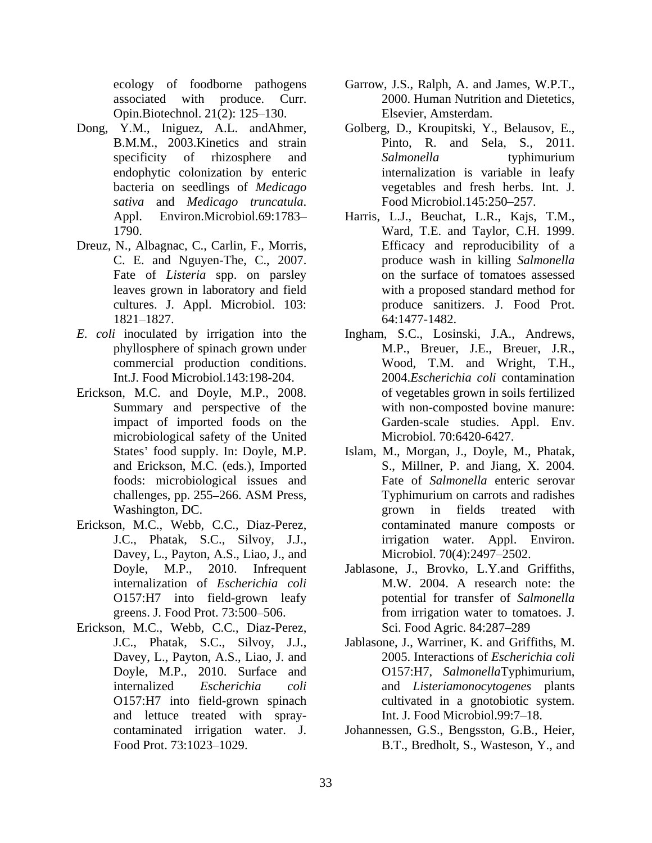Opin.Biotechnol. 21(2): 125–130. Elsevier, Amsterdam.

- *sativa* and *Medicago truncatula*. Appl. Environ.Microbiol.69:1783
- Dreuz, N., Albagnac, C., Carlin, F., Morris, C. E. and Nguyen-The, C., 2007. Fate of *Listeria* spp. on parsley
- 
- Erickson, M.C. and Doyle, M.P., 2008. Summary and perspective of the microbiological safety of the United
- Erickson, M.C., Webb, C.C., Diaz-Perez, J.C., Phatak, S.C., Silvoy, J.J., Davey, L., Payton, A.S., Liao, J., and O157:H7 into field-grown leafy
- Erickson, M.C., Webb, C.C., Diaz-Perez, Davey, L., Payton, A.S., Liao, J. and O157:H7 into field-grown spinach and lettuce treated with spray-
- ecology of foodborne pathogens Garrow, J.S., Ralph, A. and James, W.P.T., associated with produce. Curr. 2000. Human Nutrition and Dietetics,<br>Opin.Biotechnol. 21(2): 125–130. Elsevier, Amsterdam.
- Dong, Y.M., Iniguez, A.L. andAhmer, Golberg, D., Kroupitski, Y., Belausov, E., B.M.M., 2003.Kinetics and strain Pinto, R. and Sela, S., 2011. specificity of rhizosphere and Salmonella by typhimurium endophytic colonization by enteric internalization is variable in leafy bacteria on seedlings of *Medicago Salmonella* typhimurium vegetables and fresh herbs. Int. J.<br>Food Microbiol.145:250–257.
	- 1790. Ward, T.E. and Taylor, C.H. 1999. leaves grown in laboratory and field with a proposed standard method for cultures. J. Appl. Microbiol. 103: produce sanitizers. J. Food Prot. 1821–1827. 64:1477-1482. Harris, L.J., Beuchat, L.R., Kajs, T.M., Efficacy and reproducibility of a produce wash in killing *Salmonella* on the surface of tomatoes assessed 64:1477-1482.
- *E. coli* inoculated by irrigation into the Ingham, S.C., Losinski, J.A., Andrews, phyllosphere of spinach grown under M.P., Breuer, J.E., Breuer, J.R., commercial production conditions. Wood, T.M. and Wright, T.H., Int.J. Food Microbiol.143:198-204. 2004.*Escherichia coli* contamination impact of imported foods on the Garden-scale studies. Appl. Env. of vegetables grown in soils fertilized with non-composted bovine manure: Microbiol. 70:6420-6427.
	- States' food supply. In: Doyle, M.P. Islam, M., Morgan, J., Doyle, M., Phatak, and Erickson, M.C. (eds.), Imported S., Millner, P. and Jiang, X. 2004. foods: microbiological issues and Fate of *Salmonella* enteric serovar challenges, pp. 255–266. ASM Press, Typhimurium on carrots and radishes Washington, DC. grown in fields treated with Typhimurium on carrots and radishes contaminated manure composts or irrigation water. Appl. Environ. Microbiol. 70(4):2497-2502.
	- Doyle, M.P., 2010. Infrequent Jablasone, J., Brovko, L.Y.and Griffiths, internalization of *Escherichia coli* greens. J. Food Prot. 73:500–506. from irrigation water to tomatoes. J. M.W. 2004. A research note: the potential for transfer of *Salmonella* from irrigation water to tomatoes. J. Sci. Food Agric. 84:287-289
	- J.C., Phatak, S.C., Silvoy, J.J., Jablasone, J., Warriner, K. and Griffiths, M. Doyle, M.P., 2010. Surface and O157:H7, *Salmonella*Typhimurium, internalized *Escherichia coli* and *Listeriamonocytogenes* plants 2005. Interactions of *Escherichia coli* cultivated in a gnotobiotic system. Int. J. Food Microbiol.99:7-18.
	- contaminated irrigation water. J. Johannessen, G.S., Bengsston, G.B., Heier, Food Prot. 73:1023–1029. B.T., Bredholt, S., Wasteson, Y., and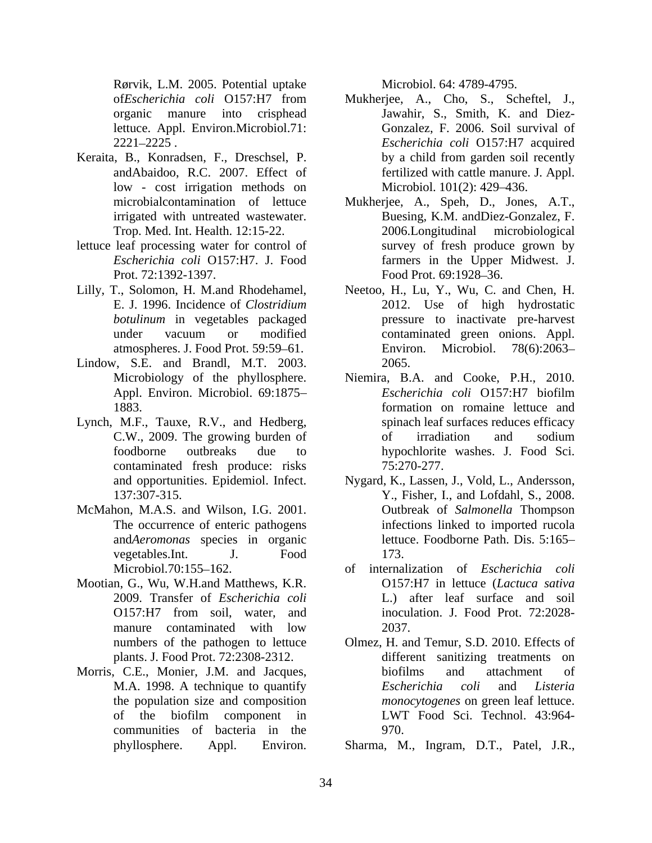Rørvik, L.M. 2005. Potential uptake lettuce. Appl. Environ.Microbiol.71:

- Keraita, B., Konradsen, F., Dreschsel, P. low - cost irrigation methods on
- lettuce leaf processing water for control of Prot. 72:1392-1397. Food Prot. 69:1928–36.
- 
- Lindow, S.E. and Brandl, M.T. 2003.
- Lynch, M.F., Tauxe, R.V., and Hedberg, contaminated fresh produce: risks 75:270-277.
- McMahon, M.A.S. and Wilson, I.G. 2001. and*Aeromonas* species in organic
- Mootian, G., Wu, W.H.and Matthews, K.R. manure contaminated with low 2037. plants. J. Food Prot. 72:2308-2312.
- communities of bacteria in the

- of*Escherichia coli* O157:H7 from Mukherjee, A., Cho, S., Scheftel, J., organic manure into crisphead Jawahir, S., Smith, K. and Diez- 2221 2225 . *Escherichia coli* O157:H7 acquired andAbaidoo, R.C. 2007. Effect of fertilized with cattle manure. J. Appl. Gonzalez, F. 2006. Soil survival of by a child from garden soil recently Microbiol. 101(2): 429-436.
- microbialcontamination of lettuce Mukherjee, A., Speh, D., Jones, A.T., irrigated with untreated wastewater. Buesing, K.M. andDiez-Gonzalez, F. Trop. Med. Int. Health. 12:15-22. *Escherichia coli* O157:H7. J. Food farmers in the Upper Midwest. J.  $2006$ . Longitudinal survey of fresh produce grown by Food Prot. 69:1928–36.
- Lilly, T., Solomon, H. M.and Rhodehamel, Neetoo, H., Lu, Y., Wu, C. and Chen, H. E. J. 1996. Incidence of *Clostridium*  2012. Use of high hydrostatic *botulinum* in vegetables packaged **pressure** to inactivate pre-harvest under vacuum or modified atmospheres. J. Food Prot. 59:59–61. Environ. Microbiol. 78(6):2063– contaminated green onions. Appl. Environ. Microbiol. 78(6):2063 2065.
	- Microbiology of the phyllosphere. Niemira, B.A. and Cooke, P.H., 2010. Appl. Environ. Microbiol. 69:1875-<br>
	Escherichia coli O157:H7 biofilm 1883. formation on romaine lettuce and C.W., 2009. The growing burden of foodborne outbreaks due to hypochlorite washes. J. Food Sci. *Escherichia coli* O157:H7 biofilm spinach leaf surfaces reduces efficacy of irradiation and sodium 75:270-277.
	- and opportunities. Epidemiol. Infect. Nygard, K., Lassen, J., Vold, L., Andersson, 137:307-315. Y., Fisher, I., and Lofdahl, S., 2008. The occurrence of enteric pathogens infections linked to imported rucola vegetables.Int. J. Food Outbreak of *Salmonella* Thompson lettuce. Foodborne Path. Dis. 5:165 173.
	- Microbiol.70:155 162. of internalization of *Escherichia coli* 2009. Transfer of *Escherichia coli* L.) after leaf surface and soil O157:H7 from soil, water, and inoculation. J. Food Prot. 72:2028-O157:H7 in lettuce (*Lactuca sativa* inoculation. J. Food Prot. 72:2028- 2037.
- numbers of the pathogen to lettuce Olmez, H. and Temur, S.D. 2010. Effects of Morris, C.E., Monier, J.M. and Jacques, biofilms and attachment of M.A. 1998. A technique to quantify Escherichia coli and Listeria the population size and composition *monocytogenes* on green leaf lettuce. of the biofilm component in Rowin, L.M. 2005. Tenential upide<br>
Microbiol. 64: 4789-4795.<br>
Such as the state of the state of the state of the state of the state of the<br>
estimate into considerate in the state of the state of the state of<br>  $\frac{1}{2}$  con different sanitizing treatments on biofilms and attachment of *Escherichia coli* and *Listeria monocytogenes* on green leaf lettuce. LWT Food Sci. Technol. 43:964- 970.

Sharma, M., Ingram, D.T., Patel, J.R.,